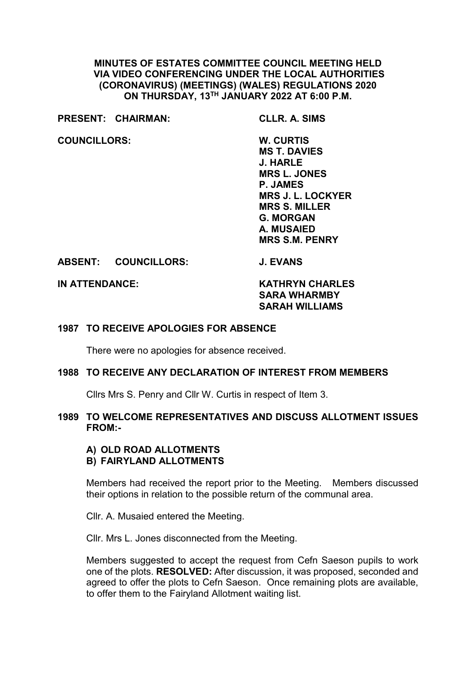# **MINUTES OF ESTATES COMMITTEE COUNCIL MEETING HELD VIA VIDEO CONFERENCING UNDER THE LOCAL AUTHORITIES (CORONAVIRUS) (MEETINGS) (WALES) REGULATIONS 2020 ON THURSDAY, 13TH JANUARY 2022 AT 6:00 P.M.**

**PRESENT: CHAIRMAN: CLLR. A. SIMS**

**COUNCILLORS: W. CURTIS**

**MS T. DAVIES J. HARLE MRS L. JONES P. JAMES MRS J. L. LOCKYER MRS S. MILLER G. MORGAN A. MUSAIED MRS S.M. PENRY**

**ABSENT: COUNCILLORS: J. EVANS**

**IN ATTENDANCE: KATHRYN CHARLES SARA WHARMBY SARAH WILLIAMS**

# **1987 TO RECEIVE APOLOGIES FOR ABSENCE**

There were no apologies for absence received.

### **1988 TO RECEIVE ANY DECLARATION OF INTEREST FROM MEMBERS**

Cllrs Mrs S. Penry and Cllr W. Curtis in respect of Item 3.

# **1989 TO WELCOME REPRESENTATIVES AND DISCUSS ALLOTMENT ISSUES FROM:-**

### **A) OLD ROAD ALLOTMENTS B) FAIRYLAND ALLOTMENTS**

Members had received the report prior to the Meeting. Members discussed their options in relation to the possible return of the communal area.

Cllr. A. Musaied entered the Meeting.

Cllr. Mrs L. Jones disconnected from the Meeting.

Members suggested to accept the request from Cefn Saeson pupils to work one of the plots. **RESOLVED:** After discussion, it was proposed, seconded and agreed to offer the plots to Cefn Saeson. Once remaining plots are available, to offer them to the Fairyland Allotment waiting list.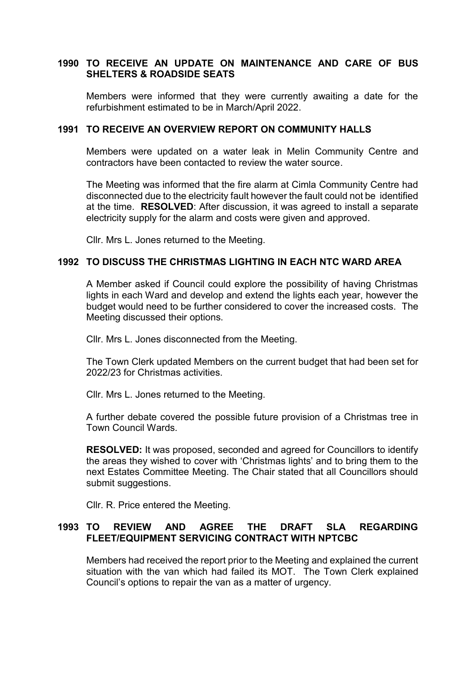# **1990 TO RECEIVE AN UPDATE ON MAINTENANCE AND CARE OF BUS SHELTERS & ROADSIDE SEATS**

Members were informed that they were currently awaiting a date for the refurbishment estimated to be in March/April 2022.

### **1991 TO RECEIVE AN OVERVIEW REPORT ON COMMUNITY HALLS**

Members were updated on a water leak in Melin Community Centre and contractors have been contacted to review the water source.

The Meeting was informed that the fire alarm at Cimla Community Centre had disconnected due to the electricity fault however the fault could not be identified at the time. **RESOLVED**: After discussion, it was agreed to install a separate electricity supply for the alarm and costs were given and approved.

Cllr. Mrs L. Jones returned to the Meeting.

## **1992 TO DISCUSS THE CHRISTMAS LIGHTING IN EACH NTC WARD AREA**

A Member asked if Council could explore the possibility of having Christmas lights in each Ward and develop and extend the lights each year, however the budget would need to be further considered to cover the increased costs. The Meeting discussed their options.

Cllr. Mrs L. Jones disconnected from the Meeting.

The Town Clerk updated Members on the current budget that had been set for 2022/23 for Christmas activities.

Cllr. Mrs L. Jones returned to the Meeting.

A further debate covered the possible future provision of a Christmas tree in Town Council Wards.

**RESOLVED:** It was proposed, seconded and agreed for Councillors to identify the areas they wished to cover with 'Christmas lights' and to bring them to the next Estates Committee Meeting. The Chair stated that all Councillors should submit suggestions.

Cllr. R. Price entered the Meeting.

# **1993 TO REVIEW AND AGREE THE DRAFT SLA REGARDING FLEET/EQUIPMENT SERVICING CONTRACT WITH NPTCBC**

Members had received the report prior to the Meeting and explained the current situation with the van which had failed its MOT. The Town Clerk explained Council's options to repair the van as a matter of urgency.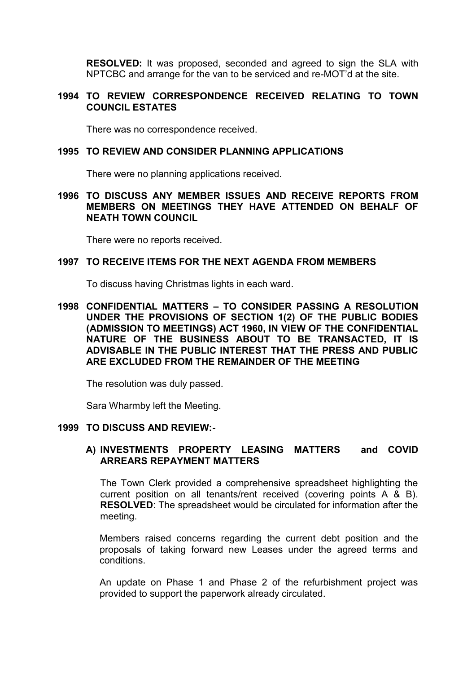**RESOLVED:** It was proposed, seconded and agreed to sign the SLA with NPTCBC and arrange for the van to be serviced and re-MOT'd at the site.

# **1994 TO REVIEW CORRESPONDENCE RECEIVED RELATING TO TOWN COUNCIL ESTATES**

There was no correspondence received.

#### **1995 TO REVIEW AND CONSIDER PLANNING APPLICATIONS**

There were no planning applications received.

## **1996 TO DISCUSS ANY MEMBER ISSUES AND RECEIVE REPORTS FROM MEMBERS ON MEETINGS THEY HAVE ATTENDED ON BEHALF OF NEATH TOWN COUNCIL**

There were no reports received.

#### **1997 TO RECEIVE ITEMS FOR THE NEXT AGENDA FROM MEMBERS**

To discuss having Christmas lights in each ward.

**1998 CONFIDENTIAL MATTERS – TO CONSIDER PASSING A RESOLUTION UNDER THE PROVISIONS OF SECTION 1(2) OF THE PUBLIC BODIES (ADMISSION TO MEETINGS) ACT 1960, IN VIEW OF THE CONFIDENTIAL NATURE OF THE BUSINESS ABOUT TO BE TRANSACTED, IT IS ADVISABLE IN THE PUBLIC INTEREST THAT THE PRESS AND PUBLIC ARE EXCLUDED FROM THE REMAINDER OF THE MEETING**

The resolution was duly passed.

Sara Wharmby left the Meeting.

#### **1999 TO DISCUSS AND REVIEW:-**

# **A) INVESTMENTS PROPERTY LEASING MATTERS and COVID ARREARS REPAYMENT MATTERS**

The Town Clerk provided a comprehensive spreadsheet highlighting the current position on all tenants/rent received (covering points A & B). **RESOLVED**: The spreadsheet would be circulated for information after the meeting.

Members raised concerns regarding the current debt position and the proposals of taking forward new Leases under the agreed terms and conditions.

An update on Phase 1 and Phase 2 of the refurbishment project was provided to support the paperwork already circulated.